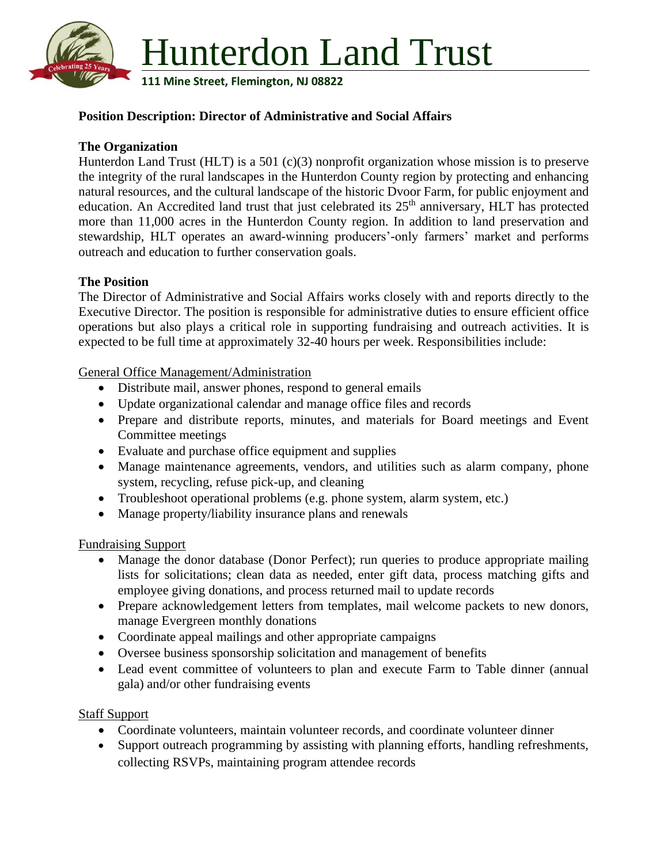

## **Position Description: Director of Administrative and Social Affairs**

## **The Organization**

Hunterdon Land Trust (HLT) is a 501 (c)(3) nonprofit organization whose mission is to preserve the integrity of the rural landscapes in the Hunterdon County region by protecting and enhancing natural resources, and the cultural landscape of the historic Dvoor Farm, for public enjoyment and education. An Accredited land trust that just celebrated its 25<sup>th</sup> anniversary, HLT has protected more than 11,000 acres in the Hunterdon County region. In addition to land preservation and stewardship, HLT operates an award-winning producers'-only farmers' market and performs outreach and education to further conservation goals.

#### **The Position**

The Director of Administrative and Social Affairs works closely with and reports directly to the Executive Director. The position is responsible for administrative duties to ensure efficient office operations but also plays a critical role in supporting fundraising and outreach activities. It is expected to be full time at approximately 32-40 hours per week. Responsibilities include:

General Office Management/Administration

- Distribute mail, answer phones, respond to general emails
- Update organizational calendar and manage office files and records
- Prepare and distribute reports, minutes, and materials for Board meetings and Event Committee meetings
- Evaluate and purchase office equipment and supplies
- Manage maintenance agreements, vendors, and utilities such as alarm company, phone system, recycling, refuse pick-up, and cleaning
- Troubleshoot operational problems (e.g. phone system, alarm system, etc.)
- Manage property/liability insurance plans and renewals

Fundraising Support

- Manage the donor database (Donor Perfect); run queries to produce appropriate mailing lists for solicitations; clean data as needed, enter gift data, process matching gifts and employee giving donations, and process returned mail to update records
- Prepare acknowledgement letters from templates, mail welcome packets to new donors, manage Evergreen monthly donations
- Coordinate appeal mailings and other appropriate campaigns
- Oversee business sponsorship solicitation and management of benefits
- Lead event committee of volunteers to plan and execute Farm to Table dinner (annual gala) and/or other fundraising events

#### Staff Support

- Coordinate volunteers, maintain volunteer records, and coordinate volunteer dinner
- Support outreach programming by assisting with planning efforts, handling refreshments, collecting RSVPs, maintaining program attendee records